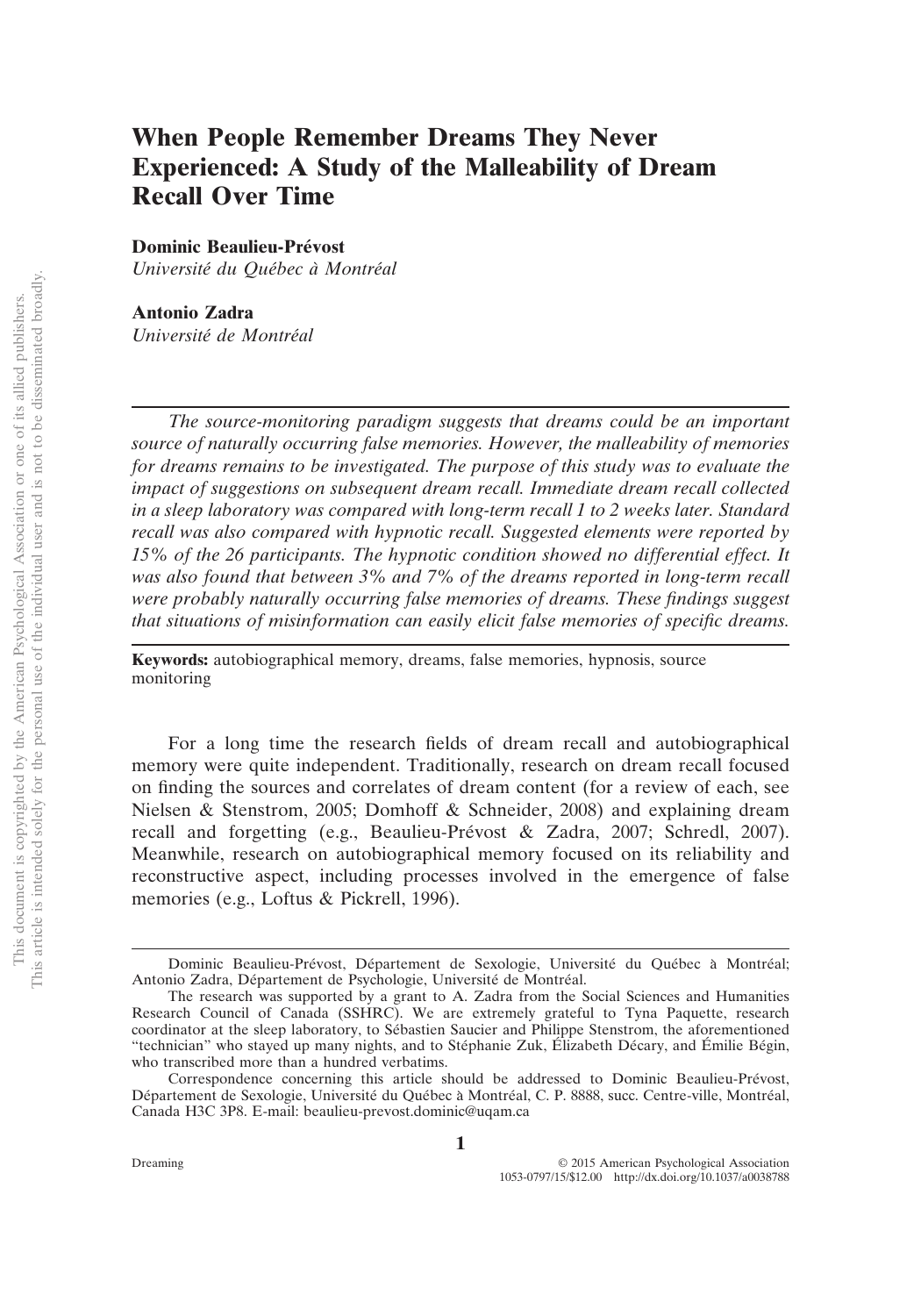# **When People Remember Dreams They Never Experienced: A Study of the Malleability of Dream Recall Over Time**

### **Dominic Beaulieu-Prévost**

*Université du Québec a` Montréal*

### **Antonio Zadra**

*Université de Montréal*

*The source-monitoring paradigm suggests that dreams could be an important source of naturally occurring false memories. However, the malleability of memories for dreams remains to be investigated. The purpose of this study was to evaluate the impact of suggestions on subsequent dream recall. Immediate dream recall collected in a sleep laboratory was compared with long-term recall 1 to 2 weeks later. Standard recall was also compared with hypnotic recall. Suggested elements were reported by 15% of the 26 participants. The hypnotic condition showed no differential effect. It was also found that between 3% and 7% of the dreams reported in long-term recall were probably naturally occurring false memories of dreams. These findings suggest that situations of misinformation can easily elicit false memories of specific dreams.*

**Keywords:** autobiographical memory, dreams, false memories, hypnosis, source monitoring

For a long time the research fields of dream recall and autobiographical memory were quite independent. Traditionally, research on dream recall focused on finding the sources and correlates of dream content (for a review of each, see Nielsen & Stenstrom, 2005; Domhoff & Schneider, 2008) and explaining dream recall and forgetting (e.g., Beaulieu-Prévost & Zadra, 2007; Schredl, 2007). Meanwhile, research on autobiographical memory focused on its reliability and reconstructive aspect, including processes involved in the emergence of false memories (e.g., Loftus & Pickrell, 1996).

Dominic Beaulieu-Prévost, Département de Sexologie, Université du Québec a` Montréal; Antonio Zadra, Département de Psychologie, Université de Montréal.

The research was supported by a grant to A. Zadra from the Social Sciences and Humanities Research Council of Canada (SSHRC). We are extremely grateful to Tyna Paquette, research coordinator at the sleep laboratory, to Sébastien Saucier and Philippe Stenstrom, the aforementioned "technician" who stayed up many nights, and to Stéphanie Zuk, Élizabeth Décary, and Émilie Bégin, who transcribed more than a hundred verbatims.

Correspondence concerning this article should be addressed to Dominic Beaulieu-Prévost, Département de Sexologie, Université du Québec a` Montréal, C. P. 8888, succ. Centre-ville, Montréal, Canada H3C 3P8. E-mail: beaulieu-prevost.dominic@uqam.ca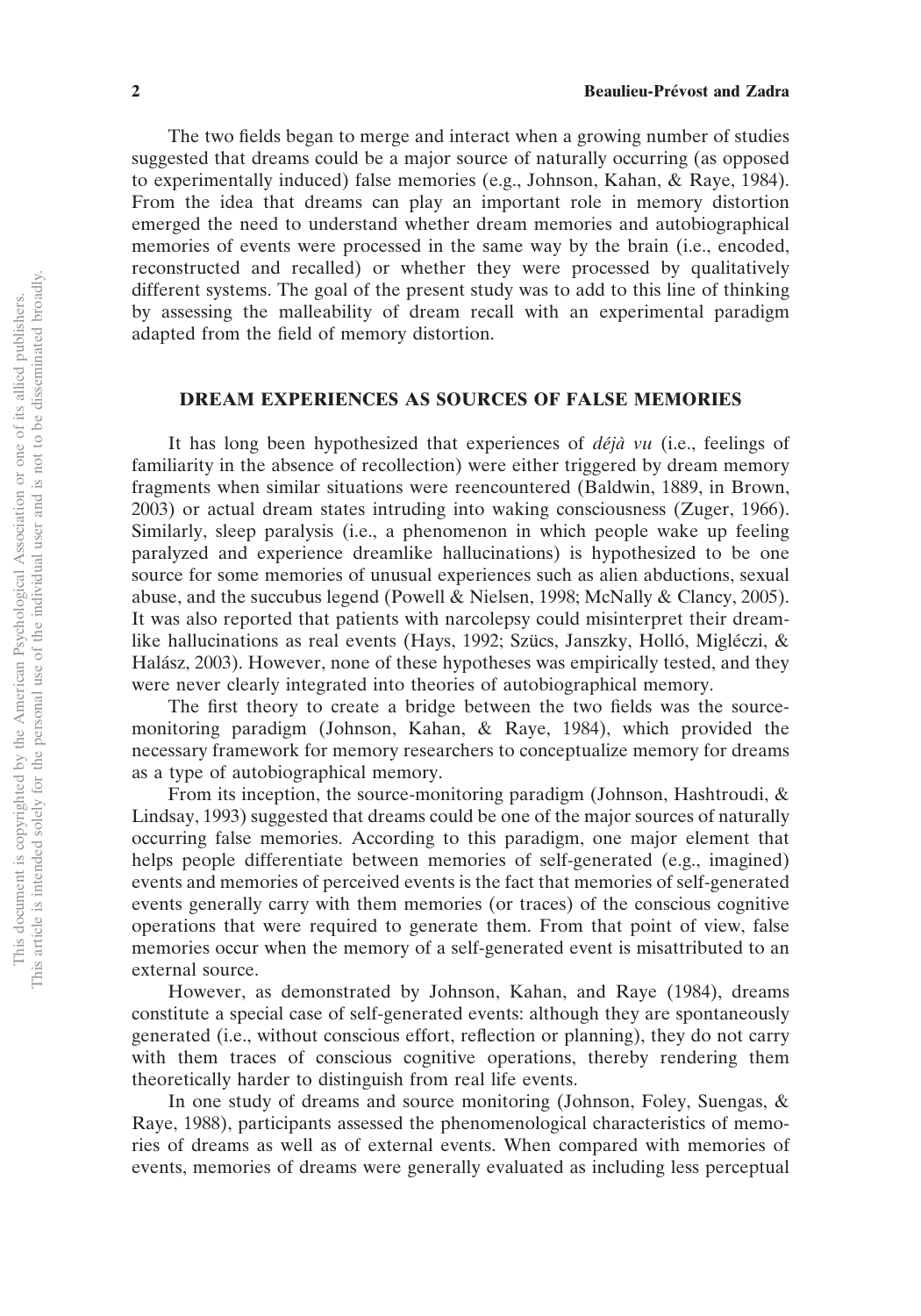The two fields began to merge and interact when a growing number of studies suggested that dreams could be a major source of naturally occurring (as opposed to experimentally induced) false memories (e.g., Johnson, Kahan, & Raye, 1984). From the idea that dreams can play an important role in memory distortion emerged the need to understand whether dream memories and autobiographical memories of events were processed in the same way by the brain (i.e., encoded, reconstructed and recalled) or whether they were processed by qualitatively different systems. The goal of the present study was to add to this line of thinking by assessing the malleability of dream recall with an experimental paradigm adapted from the field of memory distortion.

### **DREAM EXPERIENCES AS SOURCES OF FALSE MEMORIES**

It has long been hypothesized that experiences of *déja` vu* (i.e., feelings of familiarity in the absence of recollection) were either triggered by dream memory fragments when similar situations were reencountered (Baldwin, 1889, in Brown, 2003) or actual dream states intruding into waking consciousness (Zuger, 1966). Similarly, sleep paralysis (i.e., a phenomenon in which people wake up feeling paralyzed and experience dreamlike hallucinations) is hypothesized to be one source for some memories of unusual experiences such as alien abductions, sexual abuse, and the succubus legend (Powell & Nielsen, 1998; McNally & Clancy, 2005). It was also reported that patients with narcolepsy could misinterpret their dreamlike hallucinations as real events (Hays, 1992; Szücs, Janszky, Holló, Migléczi, & Halász, 2003). However, none of these hypotheses was empirically tested, and they were never clearly integrated into theories of autobiographical memory.

The first theory to create a bridge between the two fields was the sourcemonitoring paradigm (Johnson, Kahan, & Raye, 1984), which provided the necessary framework for memory researchers to conceptualize memory for dreams as a type of autobiographical memory.

From its inception, the source-monitoring paradigm (Johnson, Hashtroudi, & Lindsay, 1993) suggested that dreams could be one of the major sources of naturally occurring false memories. According to this paradigm, one major element that helps people differentiate between memories of self-generated (e.g., imagined) events and memories of perceived events is the fact that memories of self-generated events generally carry with them memories (or traces) of the conscious cognitive operations that were required to generate them. From that point of view, false memories occur when the memory of a self-generated event is misattributed to an external source.

However, as demonstrated by Johnson, Kahan, and Raye (1984), dreams constitute a special case of self-generated events: although they are spontaneously generated (i.e., without conscious effort, reflection or planning), they do not carry with them traces of conscious cognitive operations, thereby rendering them theoretically harder to distinguish from real life events.

In one study of dreams and source monitoring (Johnson, Foley, Suengas, & Raye, 1988), participants assessed the phenomenological characteristics of memories of dreams as well as of external events. When compared with memories of events, memories of dreams were generally evaluated as including less perceptual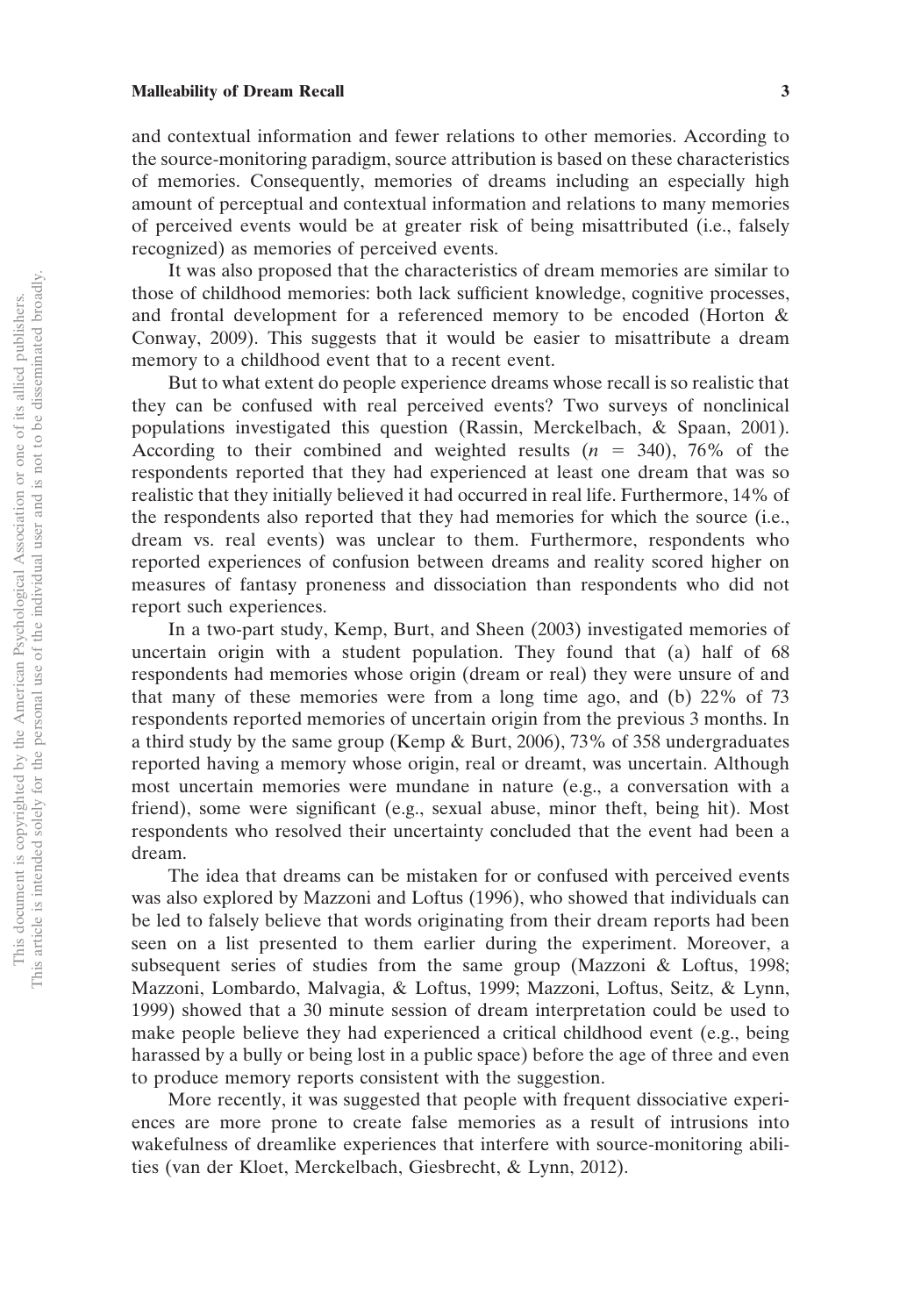and contextual information and fewer relations to other memories. According to the source-monitoring paradigm, source attribution is based on these characteristics of memories. Consequently, memories of dreams including an especially high amount of perceptual and contextual information and relations to many memories of perceived events would be at greater risk of being misattributed (i.e., falsely recognized) as memories of perceived events.

It was also proposed that the characteristics of dream memories are similar to those of childhood memories: both lack sufficient knowledge, cognitive processes, and frontal development for a referenced memory to be encoded (Horton & Conway, 2009). This suggests that it would be easier to misattribute a dream memory to a childhood event that to a recent event.

But to what extent do people experience dreams whose recall is so realistic that they can be confused with real perceived events? Two surveys of nonclinical populations investigated this question (Rassin, Merckelbach, & Spaan, 2001). According to their combined and weighted results  $(n = 340)$ , 76% of the respondents reported that they had experienced at least one dream that was so realistic that they initially believed it had occurred in real life. Furthermore, 14% of the respondents also reported that they had memories for which the source (i.e., dream vs. real events) was unclear to them. Furthermore, respondents who reported experiences of confusion between dreams and reality scored higher on measures of fantasy proneness and dissociation than respondents who did not report such experiences.

In a two-part study, Kemp, Burt, and Sheen (2003) investigated memories of uncertain origin with a student population. They found that (a) half of 68 respondents had memories whose origin (dream or real) they were unsure of and that many of these memories were from a long time ago, and (b) 22% of 73 respondents reported memories of uncertain origin from the previous 3 months. In a third study by the same group (Kemp & Burt, 2006), 73% of 358 undergraduates reported having a memory whose origin, real or dreamt, was uncertain. Although most uncertain memories were mundane in nature (e.g., a conversation with a friend), some were significant (e.g., sexual abuse, minor theft, being hit). Most respondents who resolved their uncertainty concluded that the event had been a dream.

The idea that dreams can be mistaken for or confused with perceived events was also explored by Mazzoni and Loftus (1996), who showed that individuals can be led to falsely believe that words originating from their dream reports had been seen on a list presented to them earlier during the experiment. Moreover, a subsequent series of studies from the same group (Mazzoni & Loftus, 1998; Mazzoni, Lombardo, Malvagia, & Loftus, 1999; Mazzoni, Loftus, Seitz, & Lynn, 1999) showed that a 30 minute session of dream interpretation could be used to make people believe they had experienced a critical childhood event (e.g., being harassed by a bully or being lost in a public space) before the age of three and even to produce memory reports consistent with the suggestion.

More recently, it was suggested that people with frequent dissociative experiences are more prone to create false memories as a result of intrusions into wakefulness of dreamlike experiences that interfere with source-monitoring abilities (van der Kloet, Merckelbach, Giesbrecht, & Lynn, 2012).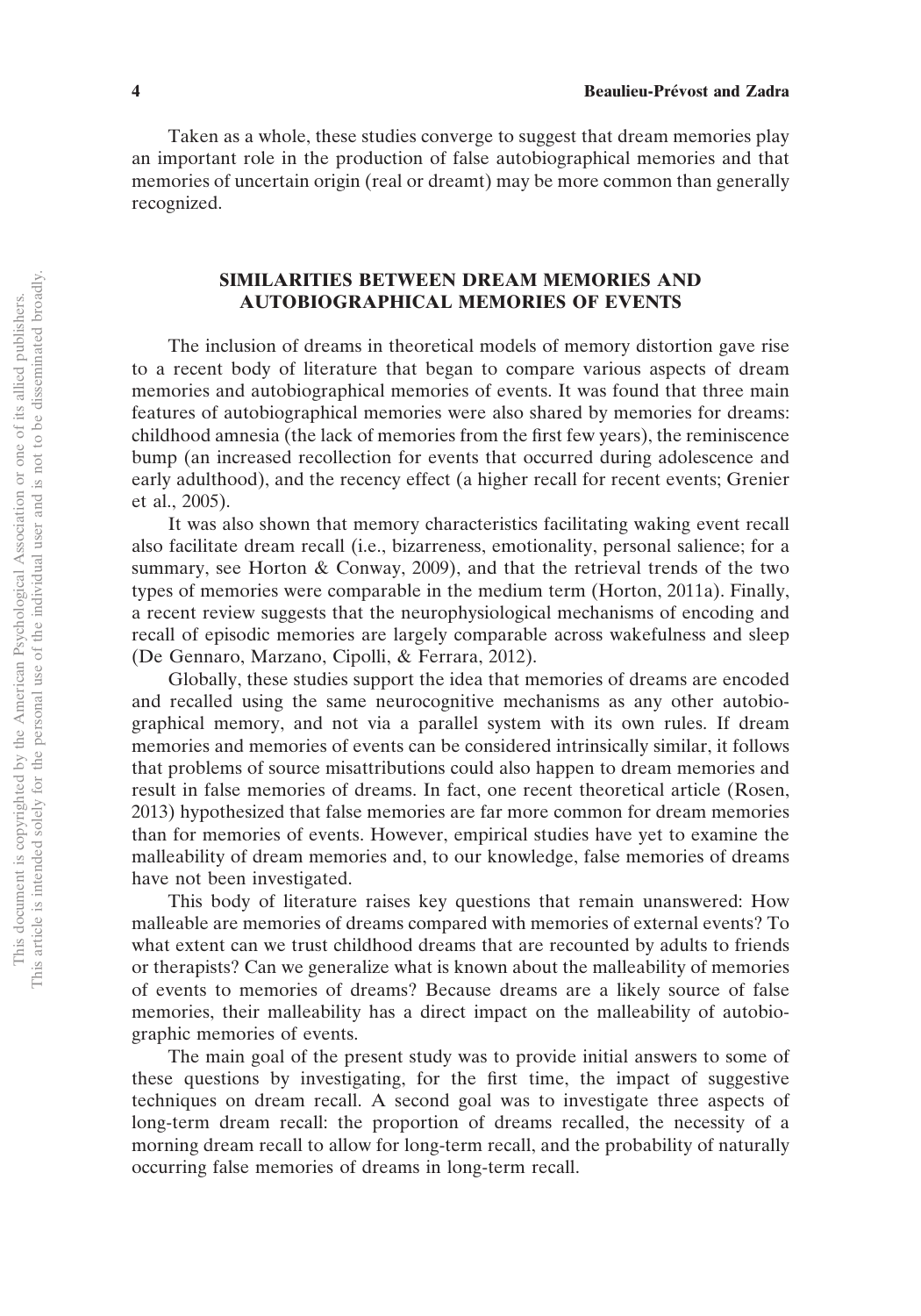Taken as a whole, these studies converge to suggest that dream memories play an important role in the production of false autobiographical memories and that memories of uncertain origin (real or dreamt) may be more common than generally recognized.

## **SIMILARITIES BETWEEN DREAM MEMORIES AND AUTOBIOGRAPHICAL MEMORIES OF EVENTS**

The inclusion of dreams in theoretical models of memory distortion gave rise to a recent body of literature that began to compare various aspects of dream memories and autobiographical memories of events. It was found that three main features of autobiographical memories were also shared by memories for dreams: childhood amnesia (the lack of memories from the first few years), the reminiscence bump (an increased recollection for events that occurred during adolescence and early adulthood), and the recency effect (a higher recall for recent events; Grenier et al., 2005).

It was also shown that memory characteristics facilitating waking event recall also facilitate dream recall (i.e., bizarreness, emotionality, personal salience; for a summary, see Horton  $& Comway, 2009$ ), and that the retrieval trends of the two types of memories were comparable in the medium term (Horton, 2011a). Finally, a recent review suggests that the neurophysiological mechanisms of encoding and recall of episodic memories are largely comparable across wakefulness and sleep (De Gennaro, Marzano, Cipolli, & Ferrara, 2012).

Globally, these studies support the idea that memories of dreams are encoded and recalled using the same neurocognitive mechanisms as any other autobiographical memory, and not via a parallel system with its own rules. If dream memories and memories of events can be considered intrinsically similar, it follows that problems of source misattributions could also happen to dream memories and result in false memories of dreams. In fact, one recent theoretical article (Rosen, 2013) hypothesized that false memories are far more common for dream memories than for memories of events. However, empirical studies have yet to examine the malleability of dream memories and, to our knowledge, false memories of dreams have not been investigated.

This body of literature raises key questions that remain unanswered: How malleable are memories of dreams compared with memories of external events? To what extent can we trust childhood dreams that are recounted by adults to friends or therapists? Can we generalize what is known about the malleability of memories of events to memories of dreams? Because dreams are a likely source of false memories, their malleability has a direct impact on the malleability of autobiographic memories of events.

The main goal of the present study was to provide initial answers to some of these questions by investigating, for the first time, the impact of suggestive techniques on dream recall. A second goal was to investigate three aspects of long-term dream recall: the proportion of dreams recalled, the necessity of a morning dream recall to allow for long-term recall, and the probability of naturally occurring false memories of dreams in long-term recall.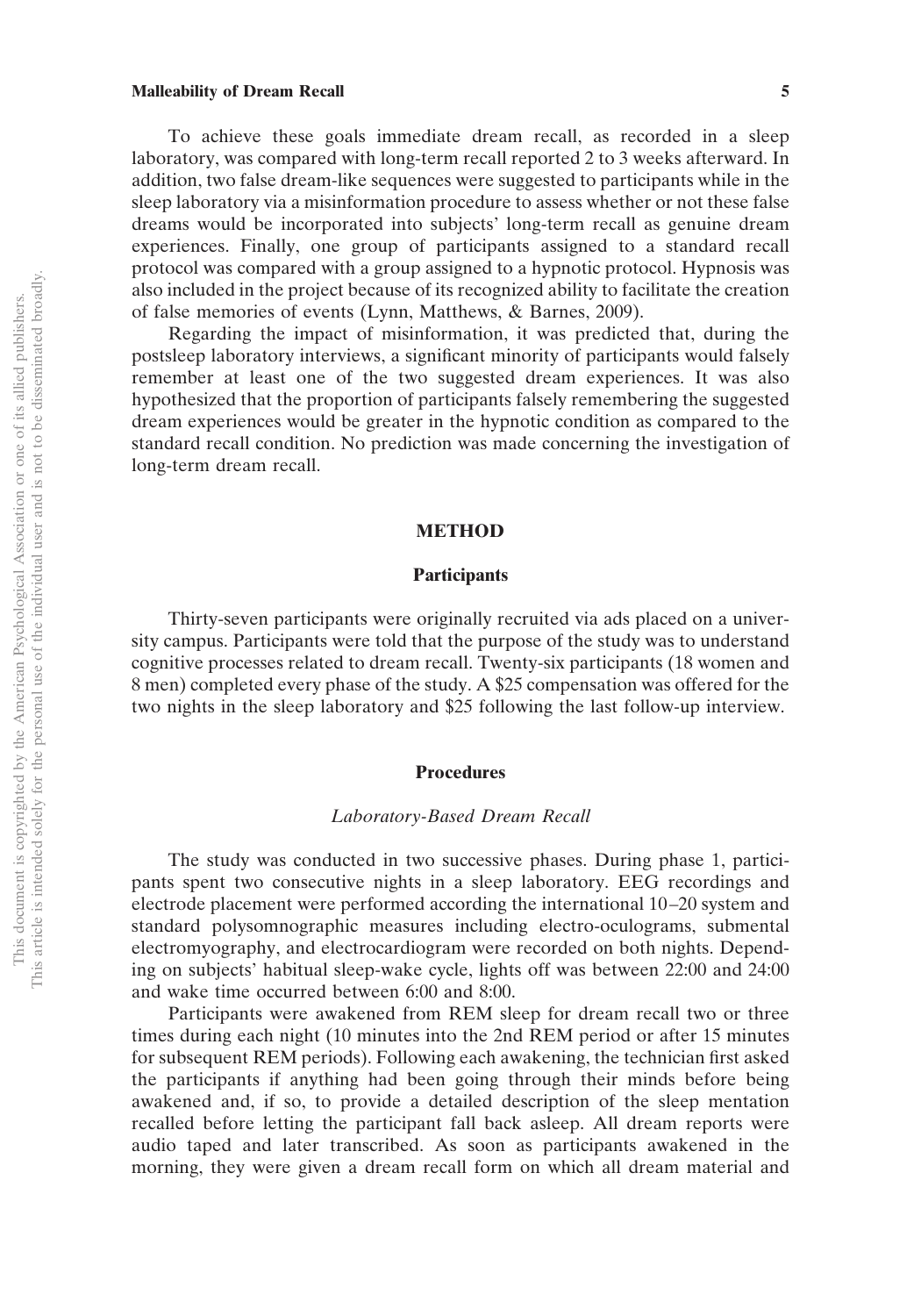To achieve these goals immediate dream recall, as recorded in a sleep laboratory, was compared with long-term recall reported 2 to 3 weeks afterward. In addition, two false dream-like sequences were suggested to participants while in the sleep laboratory via a misinformation procedure to assess whether or not these false dreams would be incorporated into subjects' long-term recall as genuine dream experiences. Finally, one group of participants assigned to a standard recall protocol was compared with a group assigned to a hypnotic protocol. Hypnosis was also included in the project because of its recognized ability to facilitate the creation of false memories of events (Lynn, Matthews, & Barnes, 2009).

Regarding the impact of misinformation, it was predicted that, during the postsleep laboratory interviews, a significant minority of participants would falsely remember at least one of the two suggested dream experiences. It was also hypothesized that the proportion of participants falsely remembering the suggested dream experiences would be greater in the hypnotic condition as compared to the standard recall condition. No prediction was made concerning the investigation of long-term dream recall.

### **METHOD**

### **Participants**

Thirty-seven participants were originally recruited via ads placed on a university campus. Participants were told that the purpose of the study was to understand cognitive processes related to dream recall. Twenty-six participants (18 women and 8 men) completed every phase of the study. A \$25 compensation was offered for the two nights in the sleep laboratory and \$25 following the last follow-up interview.

### **Procedures**

### *Laboratory-Based Dream Recall*

The study was conducted in two successive phases. During phase 1, participants spent two consecutive nights in a sleep laboratory. EEG recordings and electrode placement were performed according the international 10 –20 system and standard polysomnographic measures including electro-oculograms, submental electromyography, and electrocardiogram were recorded on both nights. Depending on subjects' habitual sleep-wake cycle, lights off was between 22:00 and 24:00 and wake time occurred between 6:00 and 8:00.

Participants were awakened from REM sleep for dream recall two or three times during each night (10 minutes into the 2nd REM period or after 15 minutes for subsequent REM periods). Following each awakening, the technician first asked the participants if anything had been going through their minds before being awakened and, if so, to provide a detailed description of the sleep mentation recalled before letting the participant fall back asleep. All dream reports were audio taped and later transcribed. As soon as participants awakened in the morning, they were given a dream recall form on which all dream material and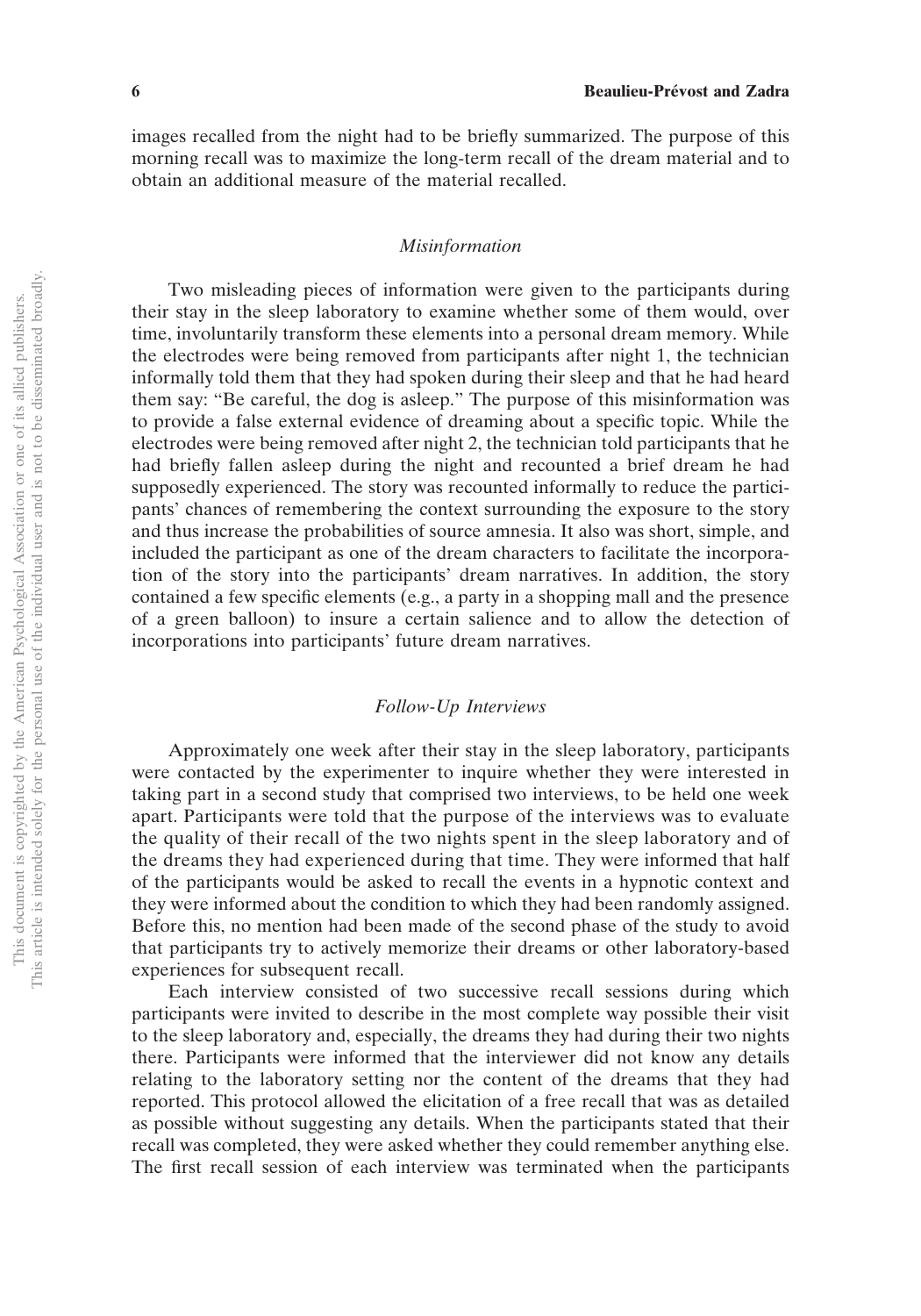images recalled from the night had to be briefly summarized. The purpose of this morning recall was to maximize the long-term recall of the dream material and to obtain an additional measure of the material recalled.

### *Misinformation*

Two misleading pieces of information were given to the participants during their stay in the sleep laboratory to examine whether some of them would, over time, involuntarily transform these elements into a personal dream memory. While the electrodes were being removed from participants after night 1, the technician informally told them that they had spoken during their sleep and that he had heard them say: "Be careful, the dog is asleep." The purpose of this misinformation was to provide a false external evidence of dreaming about a specific topic. While the electrodes were being removed after night 2, the technician told participants that he had briefly fallen asleep during the night and recounted a brief dream he had supposedly experienced. The story was recounted informally to reduce the participants' chances of remembering the context surrounding the exposure to the story and thus increase the probabilities of source amnesia. It also was short, simple, and included the participant as one of the dream characters to facilitate the incorporation of the story into the participants' dream narratives. In addition, the story contained a few specific elements (e.g., a party in a shopping mall and the presence of a green balloon) to insure a certain salience and to allow the detection of incorporations into participants' future dream narratives.

## *Follow-Up Interviews*

Approximately one week after their stay in the sleep laboratory, participants were contacted by the experimenter to inquire whether they were interested in taking part in a second study that comprised two interviews, to be held one week apart. Participants were told that the purpose of the interviews was to evaluate the quality of their recall of the two nights spent in the sleep laboratory and of the dreams they had experienced during that time. They were informed that half of the participants would be asked to recall the events in a hypnotic context and they were informed about the condition to which they had been randomly assigned. Before this, no mention had been made of the second phase of the study to avoid that participants try to actively memorize their dreams or other laboratory-based experiences for subsequent recall.

Each interview consisted of two successive recall sessions during which participants were invited to describe in the most complete way possible their visit to the sleep laboratory and, especially, the dreams they had during their two nights there. Participants were informed that the interviewer did not know any details relating to the laboratory setting nor the content of the dreams that they had reported. This protocol allowed the elicitation of a free recall that was as detailed as possible without suggesting any details. When the participants stated that their recall was completed, they were asked whether they could remember anything else. The first recall session of each interview was terminated when the participants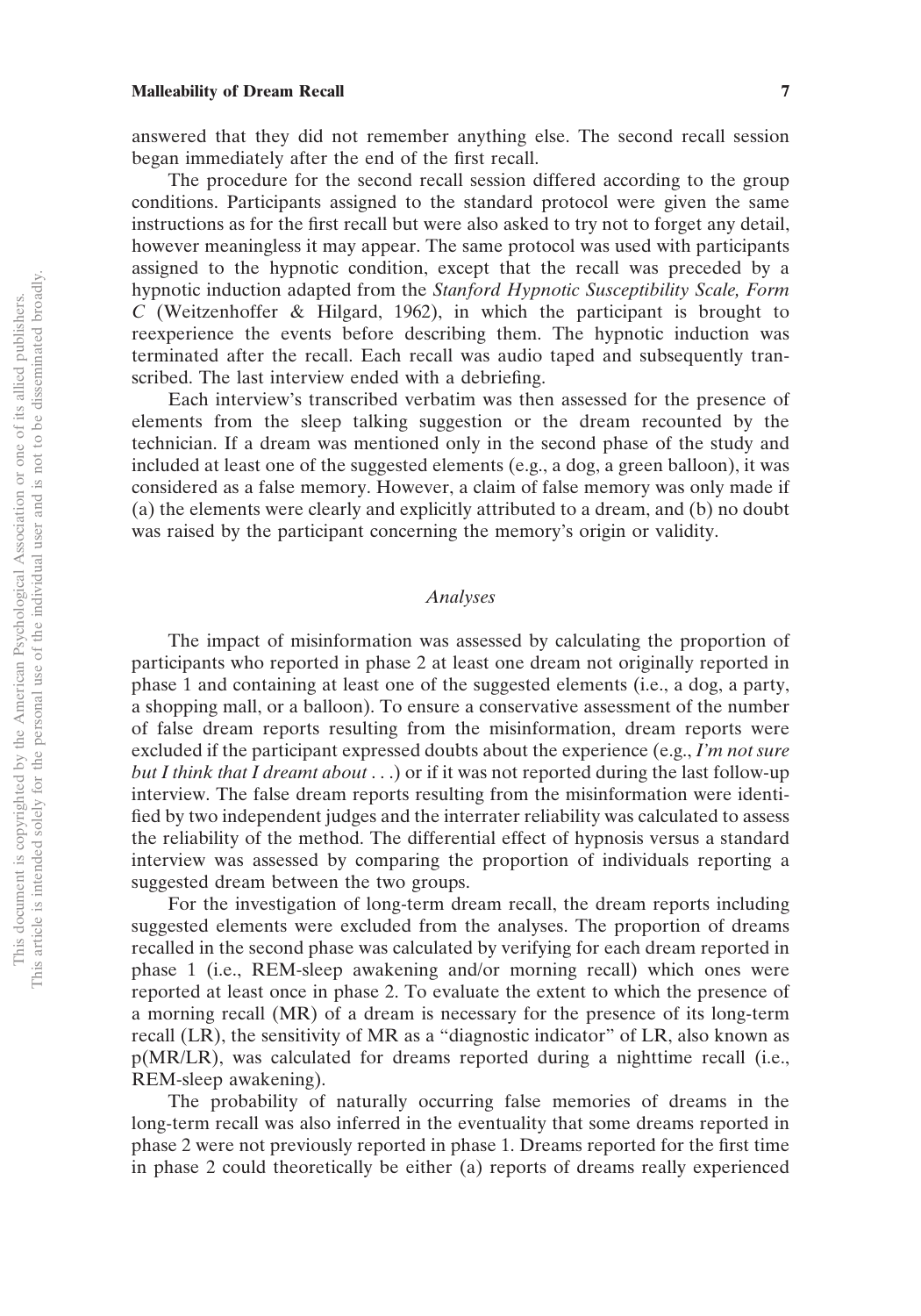answered that they did not remember anything else. The second recall session began immediately after the end of the first recall.

The procedure for the second recall session differed according to the group conditions. Participants assigned to the standard protocol were given the same instructions as for the first recall but were also asked to try not to forget any detail, however meaningless it may appear. The same protocol was used with participants assigned to the hypnotic condition, except that the recall was preceded by a hypnotic induction adapted from the *Stanford Hypnotic Susceptibility Scale, Form C* (Weitzenhoffer & Hilgard, 1962), in which the participant is brought to reexperience the events before describing them. The hypnotic induction was terminated after the recall. Each recall was audio taped and subsequently transcribed. The last interview ended with a debriefing.

Each interview's transcribed verbatim was then assessed for the presence of elements from the sleep talking suggestion or the dream recounted by the technician. If a dream was mentioned only in the second phase of the study and included at least one of the suggested elements (e.g., a dog, a green balloon), it was considered as a false memory. However, a claim of false memory was only made if (a) the elements were clearly and explicitly attributed to a dream, and (b) no doubt was raised by the participant concerning the memory's origin or validity.

### *Analyses*

The impact of misinformation was assessed by calculating the proportion of participants who reported in phase 2 at least one dream not originally reported in phase 1 and containing at least one of the suggested elements (i.e., a dog, a party, a shopping mall, or a balloon). To ensure a conservative assessment of the number of false dream reports resulting from the misinformation, dream reports were excluded if the participant expressed doubts about the experience (e.g., *I'm not sure but I think that I dreamt about* . . .) or if it was not reported during the last follow-up interview. The false dream reports resulting from the misinformation were identified by two independent judges and the interrater reliability was calculated to assess the reliability of the method. The differential effect of hypnosis versus a standard interview was assessed by comparing the proportion of individuals reporting a suggested dream between the two groups.

For the investigation of long-term dream recall, the dream reports including suggested elements were excluded from the analyses. The proportion of dreams recalled in the second phase was calculated by verifying for each dream reported in phase 1 (i.e., REM-sleep awakening and/or morning recall) which ones were reported at least once in phase 2. To evaluate the extent to which the presence of a morning recall (MR) of a dream is necessary for the presence of its long-term recall (LR), the sensitivity of MR as a "diagnostic indicator" of LR, also known as p(MR/LR), was calculated for dreams reported during a nighttime recall (i.e., REM-sleep awakening).

The probability of naturally occurring false memories of dreams in the long-term recall was also inferred in the eventuality that some dreams reported in phase 2 were not previously reported in phase 1. Dreams reported for the first time in phase 2 could theoretically be either (a) reports of dreams really experienced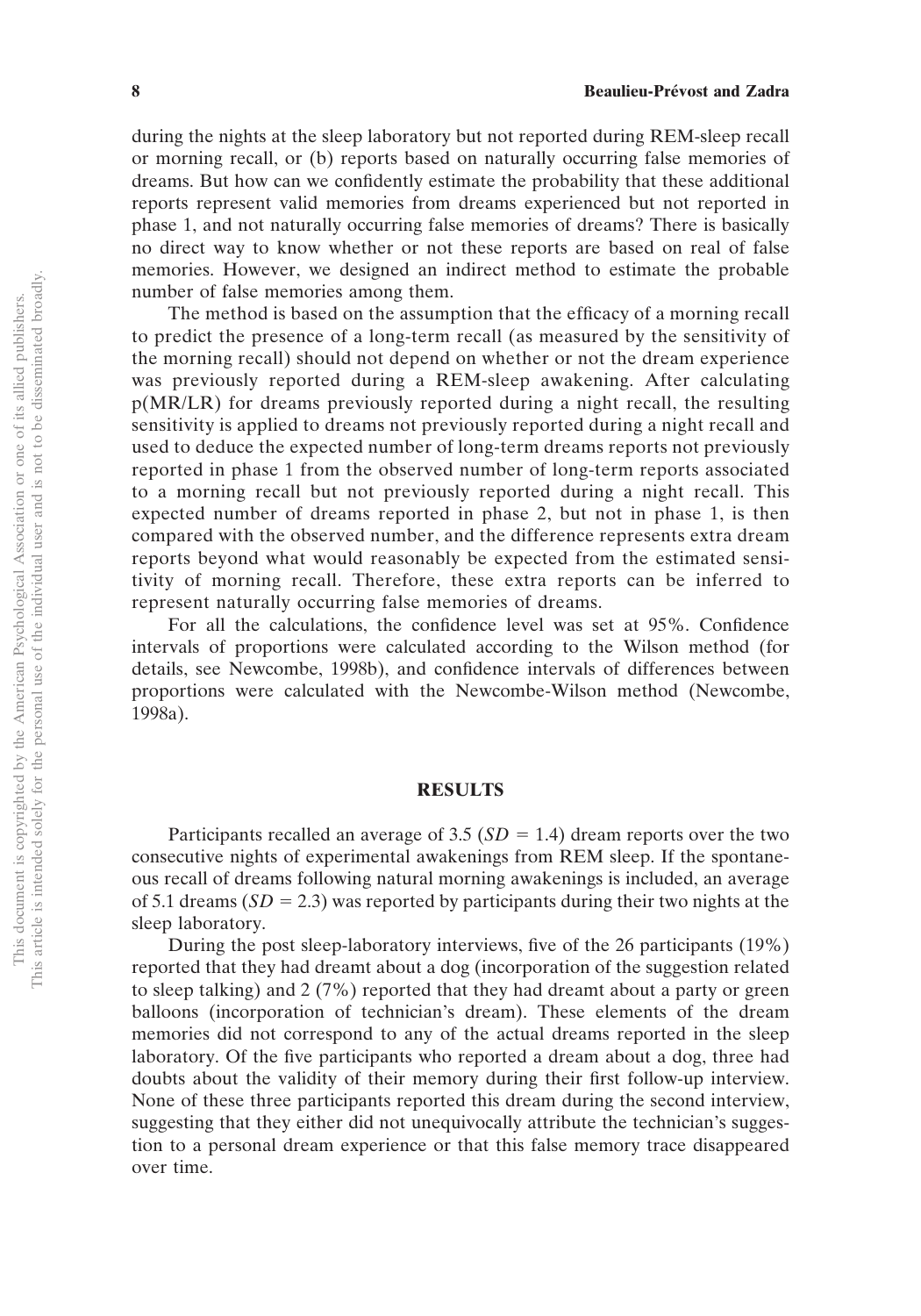during the nights at the sleep laboratory but not reported during REM-sleep recall or morning recall, or (b) reports based on naturally occurring false memories of dreams. But how can we confidently estimate the probability that these additional reports represent valid memories from dreams experienced but not reported in phase 1, and not naturally occurring false memories of dreams? There is basically no direct way to know whether or not these reports are based on real of false memories. However, we designed an indirect method to estimate the probable number of false memories among them.

The method is based on the assumption that the efficacy of a morning recall to predict the presence of a long-term recall (as measured by the sensitivity of the morning recall) should not depend on whether or not the dream experience was previously reported during a REM-sleep awakening. After calculating p(MR/LR) for dreams previously reported during a night recall, the resulting sensitivity is applied to dreams not previously reported during a night recall and used to deduce the expected number of long-term dreams reports not previously reported in phase 1 from the observed number of long-term reports associated to a morning recall but not previously reported during a night recall. This expected number of dreams reported in phase 2, but not in phase 1, is then compared with the observed number, and the difference represents extra dream reports beyond what would reasonably be expected from the estimated sensitivity of morning recall. Therefore, these extra reports can be inferred to represent naturally occurring false memories of dreams.

For all the calculations, the confidence level was set at 95%. Confidence intervals of proportions were calculated according to the Wilson method (for details, see Newcombe, 1998b), and confidence intervals of differences between proportions were calculated with the Newcombe-Wilson method (Newcombe, 1998a).

### **RESULTS**

Participants recalled an average of  $3.5$  ( $SD = 1.4$ ) dream reports over the two consecutive nights of experimental awakenings from REM sleep. If the spontaneous recall of dreams following natural morning awakenings is included, an average of 5.1 dreams  $(SD = 2.3)$  was reported by participants during their two nights at the sleep laboratory.

During the post sleep-laboratory interviews, five of the 26 participants (19%) reported that they had dreamt about a dog (incorporation of the suggestion related to sleep talking) and 2 (7%) reported that they had dreamt about a party or green balloons (incorporation of technician's dream). These elements of the dream memories did not correspond to any of the actual dreams reported in the sleep laboratory. Of the five participants who reported a dream about a dog, three had doubts about the validity of their memory during their first follow-up interview. None of these three participants reported this dream during the second interview, suggesting that they either did not unequivocally attribute the technician's suggestion to a personal dream experience or that this false memory trace disappeared over time.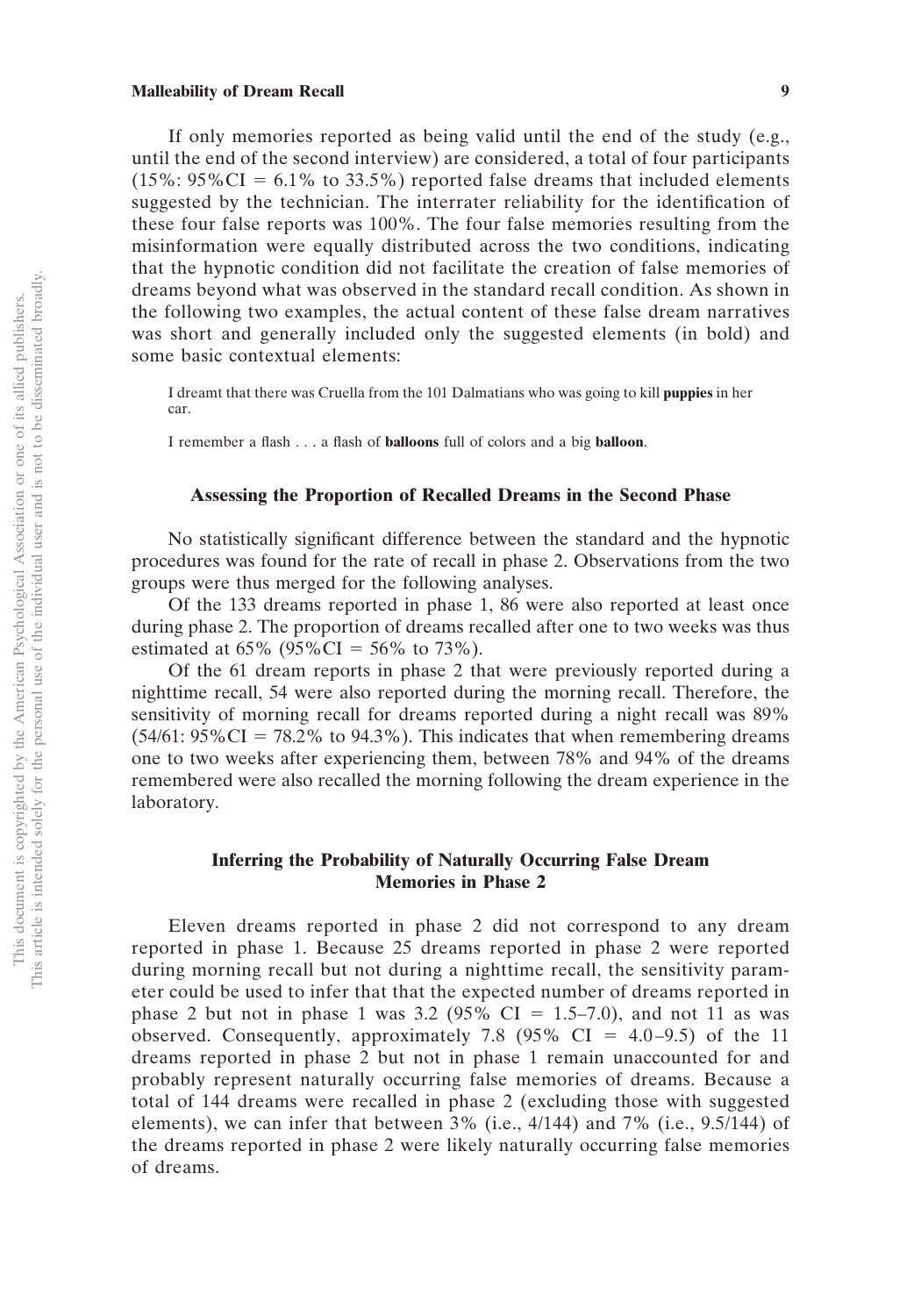If only memories reported as being valid until the end of the study (e.g., until the end of the second interview) are considered, a total of four participants  $(15\%: 95\% \text{CI} = 6.1\% \text{ to } 33.5\%)$  reported false dreams that included elements suggested by the technician. The interrater reliability for the identification of these four false reports was 100%. The four false memories resulting from the misinformation were equally distributed across the two conditions, indicating that the hypnotic condition did not facilitate the creation of false memories of dreams beyond what was observed in the standard recall condition. As shown in the following two examples, the actual content of these false dream narratives was short and generally included only the suggested elements (in bold) and some basic contextual elements:

I dreamt that there was Cruella from the 101 Dalmatians who was going to kill **puppies** in her car.

I remember a flash...a flash of **balloons** full of colors and a big **balloon**.

### **Assessing the Proportion of Recalled Dreams in the Second Phase**

No statistically significant difference between the standard and the hypnotic procedures was found for the rate of recall in phase 2. Observations from the two groups were thus merged for the following analyses.

Of the 133 dreams reported in phase 1, 86 were also reported at least once during phase 2. The proportion of dreams recalled after one to two weeks was thus estimated at  $65\%$  (95%CI = 56% to 73%).

Of the 61 dream reports in phase 2 that were previously reported during a nighttime recall, 54 were also reported during the morning recall. Therefore, the sensitivity of morning recall for dreams reported during a night recall was 89%  $(54/61: 95\% \text{CI} = 78.2\% \text{ to } 94.3\%)$ . This indicates that when remembering dreams one to two weeks after experiencing them, between 78% and 94% of the dreams remembered were also recalled the morning following the dream experience in the laboratory.

## **Inferring the Probability of Naturally Occurring False Dream Memories in Phase 2**

Eleven dreams reported in phase 2 did not correspond to any dream reported in phase 1. Because 25 dreams reported in phase 2 were reported during morning recall but not during a nighttime recall, the sensitivity parameter could be used to infer that that the expected number of dreams reported in phase 2 but not in phase 1 was 3.2 (95% CI =  $1.5-7.0$ ), and not 11 as was observed. Consequently, approximately 7.8  $(95\% \text{ CI} = 4.0-9.5)$  of the 11 dreams reported in phase 2 but not in phase 1 remain unaccounted for and probably represent naturally occurring false memories of dreams. Because a total of 144 dreams were recalled in phase 2 (excluding those with suggested elements), we can infer that between 3% (i.e., 4/144) and 7% (i.e., 9.5/144) of the dreams reported in phase 2 were likely naturally occurring false memories of dreams.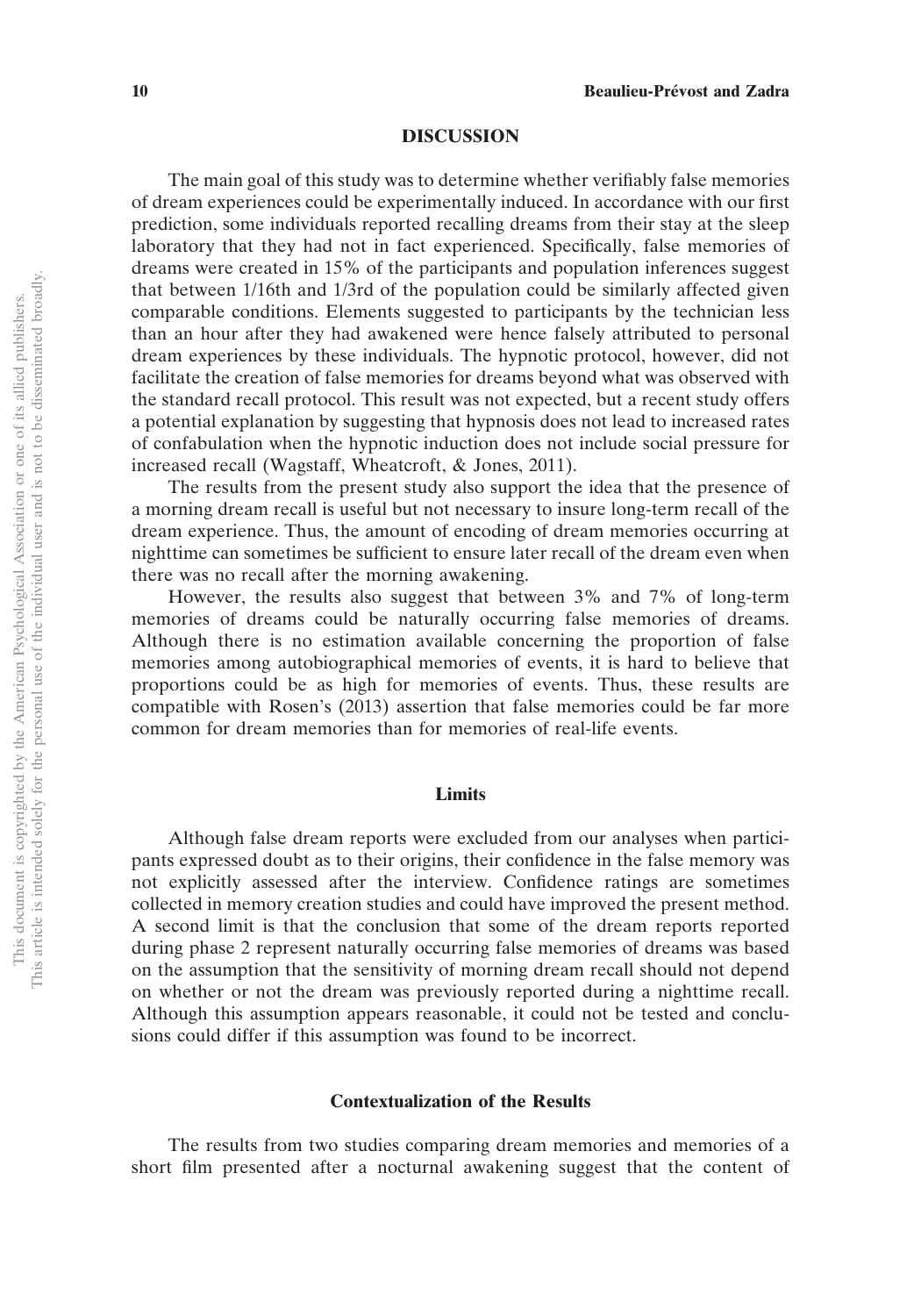### **DISCUSSION**

The main goal of this study was to determine whether verifiably false memories of dream experiences could be experimentally induced. In accordance with our first prediction, some individuals reported recalling dreams from their stay at the sleep laboratory that they had not in fact experienced. Specifically, false memories of dreams were created in 15% of the participants and population inferences suggest that between 1/16th and 1/3rd of the population could be similarly affected given comparable conditions. Elements suggested to participants by the technician less than an hour after they had awakened were hence falsely attributed to personal dream experiences by these individuals. The hypnotic protocol, however, did not facilitate the creation of false memories for dreams beyond what was observed with the standard recall protocol. This result was not expected, but a recent study offers a potential explanation by suggesting that hypnosis does not lead to increased rates of confabulation when the hypnotic induction does not include social pressure for increased recall (Wagstaff, Wheatcroft, & Jones, 2011).

The results from the present study also support the idea that the presence of a morning dream recall is useful but not necessary to insure long-term recall of the dream experience. Thus, the amount of encoding of dream memories occurring at nighttime can sometimes be sufficient to ensure later recall of the dream even when there was no recall after the morning awakening.

However, the results also suggest that between 3% and 7% of long-term memories of dreams could be naturally occurring false memories of dreams. Although there is no estimation available concerning the proportion of false memories among autobiographical memories of events, it is hard to believe that proportions could be as high for memories of events. Thus, these results are compatible with Rosen's (2013) assertion that false memories could be far more common for dream memories than for memories of real-life events.

### **Limits**

Although false dream reports were excluded from our analyses when participants expressed doubt as to their origins, their confidence in the false memory was not explicitly assessed after the interview. Confidence ratings are sometimes collected in memory creation studies and could have improved the present method. A second limit is that the conclusion that some of the dream reports reported during phase 2 represent naturally occurring false memories of dreams was based on the assumption that the sensitivity of morning dream recall should not depend on whether or not the dream was previously reported during a nighttime recall. Although this assumption appears reasonable, it could not be tested and conclusions could differ if this assumption was found to be incorrect.

### **Contextualization of the Results**

The results from two studies comparing dream memories and memories of a short film presented after a nocturnal awakening suggest that the content of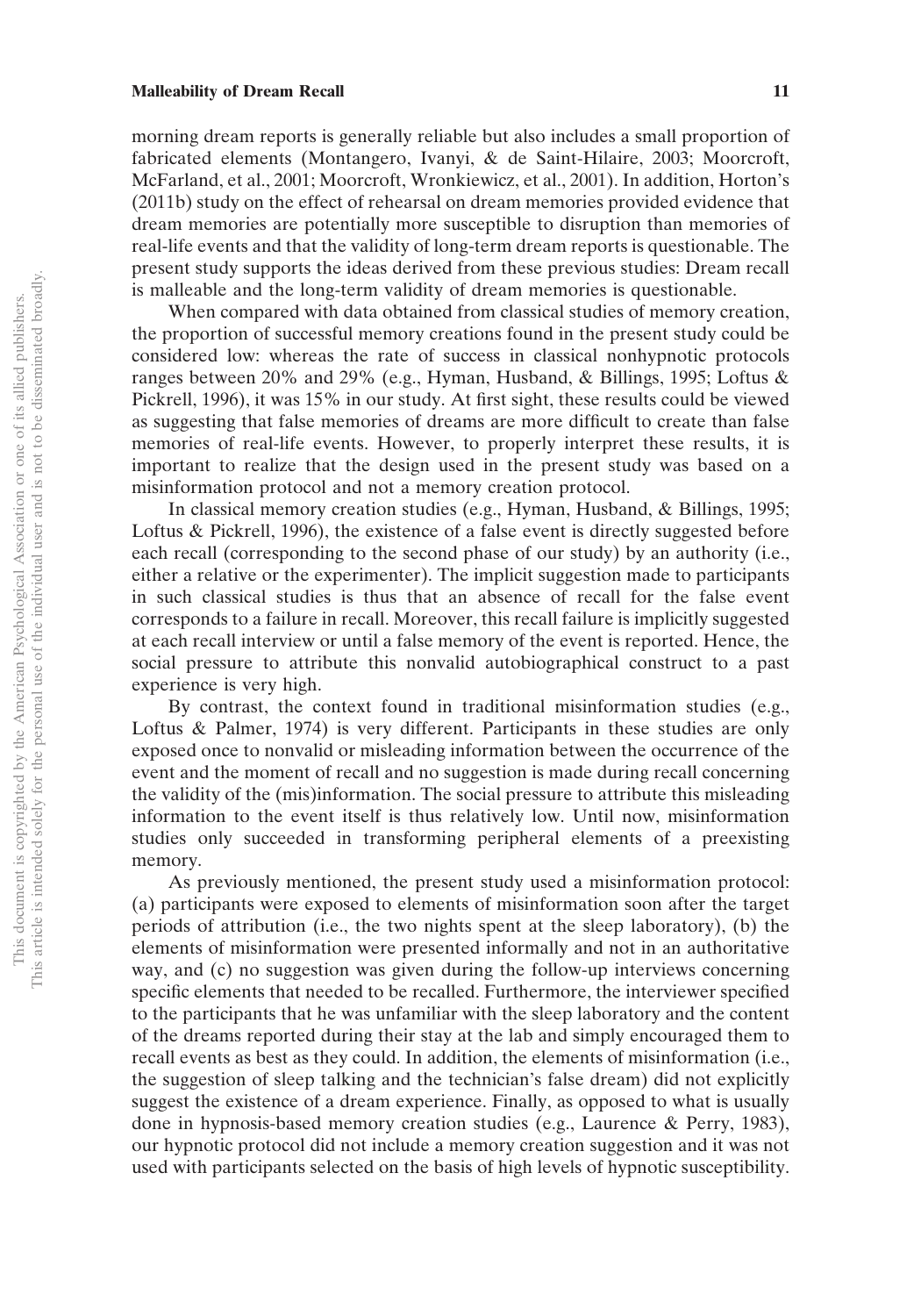morning dream reports is generally reliable but also includes a small proportion of fabricated elements (Montangero, Ivanyi, & de Saint-Hilaire, 2003; Moorcroft, McFarland, et al., 2001; Moorcroft, Wronkiewicz, et al., 2001). In addition, Horton's (2011b) study on the effect of rehearsal on dream memories provided evidence that dream memories are potentially more susceptible to disruption than memories of real-life events and that the validity of long-term dream reports is questionable. The present study supports the ideas derived from these previous studies: Dream recall is malleable and the long-term validity of dream memories is questionable.

When compared with data obtained from classical studies of memory creation, the proportion of successful memory creations found in the present study could be considered low: whereas the rate of success in classical nonhypnotic protocols ranges between 20% and 29% (e.g., Hyman, Husband, & Billings, 1995; Loftus & Pickrell, 1996), it was 15% in our study. At first sight, these results could be viewed as suggesting that false memories of dreams are more difficult to create than false memories of real-life events. However, to properly interpret these results, it is important to realize that the design used in the present study was based on a misinformation protocol and not a memory creation protocol.

In classical memory creation studies (e.g., Hyman, Husband, & Billings, 1995; Loftus & Pickrell, 1996), the existence of a false event is directly suggested before each recall (corresponding to the second phase of our study) by an authority (i.e., either a relative or the experimenter). The implicit suggestion made to participants in such classical studies is thus that an absence of recall for the false event corresponds to a failure in recall. Moreover, this recall failure is implicitly suggested at each recall interview or until a false memory of the event is reported. Hence, the social pressure to attribute this nonvalid autobiographical construct to a past experience is very high.

By contrast, the context found in traditional misinformation studies (e.g., Loftus & Palmer, 1974) is very different. Participants in these studies are only exposed once to nonvalid or misleading information between the occurrence of the event and the moment of recall and no suggestion is made during recall concerning the validity of the (mis)information. The social pressure to attribute this misleading information to the event itself is thus relatively low. Until now, misinformation studies only succeeded in transforming peripheral elements of a preexisting memory.

As previously mentioned, the present study used a misinformation protocol: (a) participants were exposed to elements of misinformation soon after the target periods of attribution (i.e., the two nights spent at the sleep laboratory), (b) the elements of misinformation were presented informally and not in an authoritative way, and (c) no suggestion was given during the follow-up interviews concerning specific elements that needed to be recalled. Furthermore, the interviewer specified to the participants that he was unfamiliar with the sleep laboratory and the content of the dreams reported during their stay at the lab and simply encouraged them to recall events as best as they could. In addition, the elements of misinformation (i.e., the suggestion of sleep talking and the technician's false dream) did not explicitly suggest the existence of a dream experience. Finally, as opposed to what is usually done in hypnosis-based memory creation studies (e.g., Laurence & Perry, 1983), our hypnotic protocol did not include a memory creation suggestion and it was not used with participants selected on the basis of high levels of hypnotic susceptibility.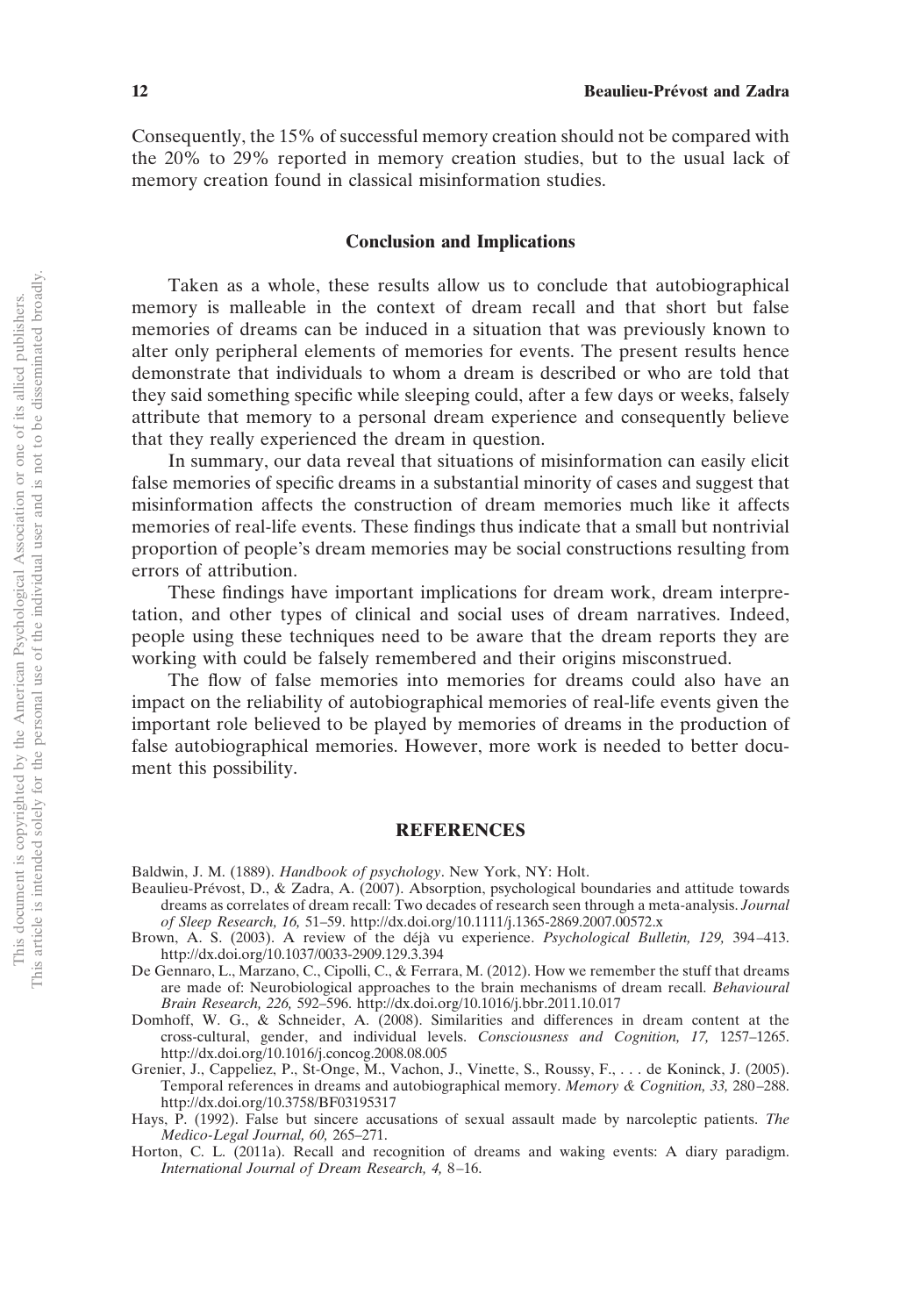Consequently, the 15% of successful memory creation should not be compared with the 20% to 29% reported in memory creation studies, but to the usual lack of memory creation found in classical misinformation studies.

### **Conclusion and Implications**

Taken as a whole, these results allow us to conclude that autobiographical memory is malleable in the context of dream recall and that short but false memories of dreams can be induced in a situation that was previously known to alter only peripheral elements of memories for events. The present results hence demonstrate that individuals to whom a dream is described or who are told that they said something specific while sleeping could, after a few days or weeks, falsely attribute that memory to a personal dream experience and consequently believe that they really experienced the dream in question.

In summary, our data reveal that situations of misinformation can easily elicit false memories of specific dreams in a substantial minority of cases and suggest that misinformation affects the construction of dream memories much like it affects memories of real-life events. These findings thus indicate that a small but nontrivial proportion of people's dream memories may be social constructions resulting from errors of attribution.

These findings have important implications for dream work, dream interpretation, and other types of clinical and social uses of dream narratives. Indeed, people using these techniques need to be aware that the dream reports they are working with could be falsely remembered and their origins misconstrued.

The flow of false memories into memories for dreams could also have an impact on the reliability of autobiographical memories of real-life events given the important role believed to be played by memories of dreams in the production of false autobiographical memories. However, more work is needed to better document this possibility.

### **REFERENCES**

Baldwin, J. M. (1889). *Handbook of psychology*. New York, NY: Holt.

- Beaulieu-Prévost, D., & Zadra, A. (2007). Absorption, psychological boundaries and attitude towards dreams as correlates of dream recall: Two decades of research seen through a meta-analysis. *Journal of Sleep Research, 16,* 51–59. http://dx.doi.org/10.1111/j.1365-2869.2007.00572.x
- Brown, A. S. (2003). A review of the déja` vu experience. *Psychological Bulletin, 129,* 394 –413. http://dx.doi.org/10.1037/0033-2909.129.3.394
- De Gennaro, L., Marzano, C., Cipolli, C., & Ferrara, M. (2012). How we remember the stuff that dreams are made of: Neurobiological approaches to the brain mechanisms of dream recall. *Behavioural Brain Research, 226,* 592–596. http://dx.doi.org/10.1016/j.bbr.2011.10.017
- Domhoff, W. G., & Schneider, A. (2008). Similarities and differences in dream content at the cross-cultural, gender, and individual levels. *Consciousness and Cognition, 17,* 1257–1265. http://dx.doi.org/10.1016/j.concog.2008.08.005
- Grenier, J., Cappeliez, P., St-Onge, M., Vachon, J., Vinette, S., Roussy, F., . . . de Koninck, J. (2005). Temporal references in dreams and autobiographical memory. *Memory & Cognition, 33,* 280 –288. http://dx.doi.org/10.3758/BF03195317
- Hays, P. (1992). False but sincere accusations of sexual assault made by narcoleptic patients. *The Medico-Legal Journal, 60,* 265–271.
- Horton, C. L. (2011a). Recall and recognition of dreams and waking events: A diary paradigm. *International Journal of Dream Research, 4,* 8 –16.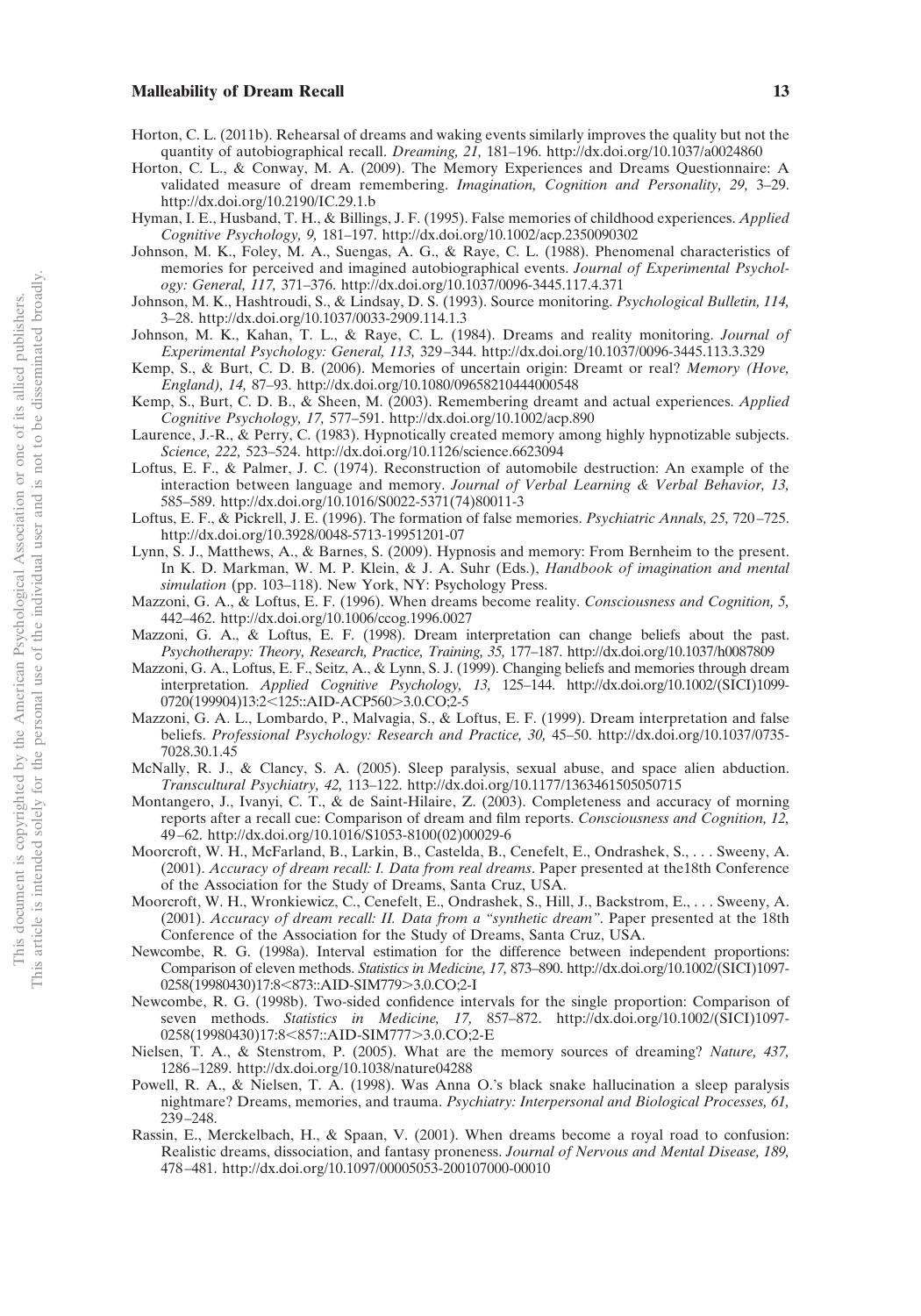- Horton, C. L. (2011b). Rehearsal of dreams and waking events similarly improves the quality but not the quantity of autobiographical recall. *Dreaming, 21,* 181–196. http://dx.doi.org/10.1037/a0024860
- Horton, C. L., & Conway, M. A. (2009). The Memory Experiences and Dreams Questionnaire: A validated measure of dream remembering. *Imagination, Cognition and Personality, 29,* 3–29. http://dx.doi.org/10.2190/IC.29.1.b
- Hyman, I. E., Husband, T. H., & Billings, J. F. (1995). False memories of childhood experiences. *Applied Cognitive Psychology, 9,* 181–197. http://dx.doi.org/10.1002/acp.2350090302
- Johnson, M. K., Foley, M. A., Suengas, A. G., & Raye, C. L. (1988). Phenomenal characteristics of memories for perceived and imagined autobiographical events. *Journal of Experimental Psychology: General, 117,* 371–376. http://dx.doi.org/10.1037/0096-3445.117.4.371
- Johnson, M. K., Hashtroudi, S., & Lindsay, D. S. (1993). Source monitoring. *Psychological Bulletin, 114,* 3–28. http://dx.doi.org/10.1037/0033-2909.114.1.3
- Johnson, M. K., Kahan, T. L., & Raye, C. L. (1984). Dreams and reality monitoring. *Journal of Experimental Psychology: General, 113,* 329 –344. http://dx.doi.org/10.1037/0096-3445.113.3.329
- Kemp, S., & Burt, C. D. B. (2006). Memories of uncertain origin: Dreamt or real? *Memory (Hove, England), 14,* 87–93. http://dx.doi.org/10.1080/09658210444000548
- Kemp, S., Burt, C. D. B., & Sheen, M. (2003). Remembering dreamt and actual experiences. *Applied Cognitive Psychology, 17,* 577–591. http://dx.doi.org/10.1002/acp.890
- Laurence, J.-R., & Perry, C. (1983). Hypnotically created memory among highly hypnotizable subjects. *Science, 222,* 523–524. http://dx.doi.org/10.1126/science.6623094
- Loftus, E. F., & Palmer, J. C. (1974). Reconstruction of automobile destruction: An example of the interaction between language and memory. *Journal of Verbal Learning & Verbal Behavior, 13,* 585–589. http://dx.doi.org/10.1016/S0022-5371(74)80011-3
- Loftus, E. F., & Pickrell, J. E. (1996). The formation of false memories. *Psychiatric Annals, 25,* 720 –725. http://dx.doi.org/10.3928/0048-5713-19951201-07
- Lynn, S. J., Matthews, A., & Barnes, S. (2009). Hypnosis and memory: From Bernheim to the present. In K. D. Markman, W. M. P. Klein, & J. A. Suhr (Eds.), *Handbook of imagination and mental simulation* (pp. 103–118). New York, NY: Psychology Press.
- Mazzoni, G. A., & Loftus, E. F. (1996). When dreams become reality. *Consciousness and Cognition, 5,* 442–462. http://dx.doi.org/10.1006/ccog.1996.0027
- Mazzoni, G. A., & Loftus, E. F. (1998). Dream interpretation can change beliefs about the past. *Psychotherapy: Theory, Research, Practice, Training, 35,* 177–187. http://dx.doi.org/10.1037/h0087809
- Mazzoni, G. A., Loftus, E. F., Seitz, A., & Lynn, S. J. (1999). Changing beliefs and memories through dream interpretation. *Applied Cognitive Psychology, 13,* 125–144. http://dx.doi.org/10.1002/(SICI)1099- 0720(199904)13:2<125::AID-ACP560>3.0.CO;2-5
- Mazzoni, G. A. L., Lombardo, P., Malvagia, S., & Loftus, E. F. (1999). Dream interpretation and false beliefs. *Professional Psychology: Research and Practice, 30,* 45–50. http://dx.doi.org/10.1037/0735- 7028.30.1.45
- McNally, R. J., & Clancy, S. A. (2005). Sleep paralysis, sexual abuse, and space alien abduction. *Transcultural Psychiatry, 42,* 113–122. http://dx.doi.org/10.1177/1363461505050715
- Montangero, J., Ivanyi, C. T., & de Saint-Hilaire, Z. (2003). Completeness and accuracy of morning reports after a recall cue: Comparison of dream and film reports. *Consciousness and Cognition, 12,* 49 –62. http://dx.doi.org/10.1016/S1053-8100(02)00029-6
- Moorcroft, W. H., McFarland, B., Larkin, B., Castelda, B., Cenefelt, E., Ondrashek, S.,... Sweeny, A. (2001). *Accuracy of dream recall: I. Data from real dreams*. Paper presented at the18th Conference of the Association for the Study of Dreams, Santa Cruz, USA.
- Moorcroft, W. H., Wronkiewicz, C., Cenefelt, E., Ondrashek, S., Hill, J., Backstrom, E.,... Sweeny, A. (2001). *Accuracy of dream recall: II. Data from a "synthetic dream"*. Paper presented at the 18th Conference of the Association for the Study of Dreams, Santa Cruz, USA.
- Newcombe, R. G. (1998a). Interval estimation for the difference between independent proportions: Comparison of eleven methods. *Statistics in Medicine, 17,* 873–890. http://dx.doi.org/10.1002/(SICI)1097- 0258(19980430)17:8<873::AID-SIM779>3.0.CO;2-I
- Newcombe, R. G. (1998b). Two-sided confidence intervals for the single proportion: Comparison of seven methods. *Statistics in Medicine, 17,* 857–872. http://dx.doi.org/10.1002/(SICI)1097- 0258(19980430)17:8<857::AID-SIM777>3.0.CO;2-E
- Nielsen, T. A., & Stenstrom, P. (2005). What are the memory sources of dreaming? *Nature, 437,* 1286 –1289. http://dx.doi.org/10.1038/nature04288
- Powell, R. A., & Nielsen, T. A. (1998). Was Anna O.'s black snake hallucination a sleep paralysis nightmare? Dreams, memories, and trauma. *Psychiatry: Interpersonal and Biological Processes, 61,* 239 –248.
- Rassin, E., Merckelbach, H., & Spaan, V. (2001). When dreams become a royal road to confusion: Realistic dreams, dissociation, and fantasy proneness. *Journal of Nervous and Mental Disease, 189,* 478 –481. http://dx.doi.org/10.1097/00005053-200107000-00010